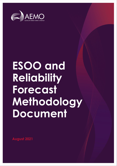

# **ESOO and Reliability Forecast Methodology Document**

**August 2021**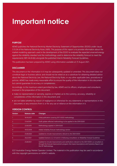## **Important notice**

#### **PURPOSE**

AEMO publishes the National Electricity Market Electricity Statement of Opportunities (ESOO) under clause 3.13.3A of the National Electricity Rules (NER). The purpose of this report is to provide information about the market modelling approach used in the development of the ESOO to evaluate the expected unserved energy against the reliability standard and the methodology used to determine the reliability forecast to meet the requirements NER 4A.B.4(b) alongside the published Interim Reliability Forecast Guidelines.

This publication has been prepared by AEMO using information available at 31 August 2021.

#### **DISCLAIMER**

This document or the information in it may be subsequently updated or amended. This document does not constitute legal or business advice, and should not be relied on as a substitute for obtaining detailed advice about the National Electricity Law, the National Electricity Rules, or any other applicable laws, procedures or policies. AEMO has made every reasonable effort to ensure the quality of the information in this document but cannot guarantee its accuracy or completeness.

Accordingly, to the maximum extent permitted by law, AEMO and its officers, employees and consultants involved in the preparation of this document:

- make no representation or warranty, express or implied, as to the currency, accuracy, reliability or completeness of the information in this document; and
- are not liable (whether by reason of negligence or otherwise) for any statements or representations in this document, or any omissions from it, or for any use or reliance on the information in it.

| <b>Version</b> | Release date | <b>Changes</b>                                                                                                                                                                                                      |
|----------------|--------------|---------------------------------------------------------------------------------------------------------------------------------------------------------------------------------------------------------------------|
|                | 16/10/2017   | Initial publication covering 2017 ESOO methodology                                                                                                                                                                  |
| 2              | 17/4/2019    | Draft update reflected methodology to be applied in the 2019 ESOO                                                                                                                                                   |
| 3              | 22/8/2019    | Methodology applied in 2019 ESOO                                                                                                                                                                                    |
| 4              | 19/12/2019   | Added reliability forecast methodology section                                                                                                                                                                      |
| 5              | 25/8/2020    | Updated to include improvements relevant to the 2020 ESOO                                                                                                                                                           |
| 6              | 26/2/2021    | Updated Sections 1.2, 4.4 and 6.1.3 following consultation on Reliability Forecast Guidelines                                                                                                                       |
|                | 25/8/2021    | Updated to include improvements and clarifications relevant to the 2021 ESOO: as consulted on<br>through the forecast improvement program; the Inputs Assumptions and Scenarios Report; and<br>the ISP Methodology. |

#### **VERSION CONTROL**

©21 Australian Energy Market Operator Limited. The material in this publication may be used in accordance with the [copyright permissions on AEMO's website](http://aemo.com.au/Privacy_and_Legal_Notices/Copyright_Permissions_Notice).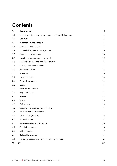## **Contents**

| 1.       | Introduction                                                     | 5              |
|----------|------------------------------------------------------------------|----------------|
| 1.1      | Electricity Statement of Opportunities and Reliability Forecasts | 5              |
| 1.2      | Structure                                                        | 5              |
| 2.       | <b>Generation and storage</b>                                    | 7              |
| 2.1      | Generator rated capacity                                         | $\overline{7}$ |
| 2.2      | Dispatchable generator outage rates                              | 8              |
| 2.3      | Generator auxiliary usage                                        | 10             |
| 2.4      | Variable renewable energy availability                           | 10             |
| 2.5      | Grid-scale storage and virtual power plants                      | 11             |
| 2.6      | New generator commitment                                         | 11             |
| 2.7      | Application of DSP                                               | 12             |
| 3.       | <b>Network</b>                                                   | 13             |
| 3.1      | Interconnectors                                                  | 13             |
| 3.2      | Network constraints                                              | 13             |
| 3.3      | Losses                                                           | 14             |
| 3.4      | Transmission outages                                             | 14             |
| 3.5      | Augmentations                                                    | 14             |
| 4.       | <b>Traces</b>                                                    | 15             |
| 4.1      | Traces                                                           | 15             |
| 4.2      | Reference years                                                  | 15             |
| 4.3      | Creating reference years trace for VRE                           | 15             |
| 4.4      | Transmission line rating traces                                  | 15             |
| 4.5      | Photovoltaic (PV) traces                                         | 16             |
| 4.6      | Time-slice trace                                                 | 17             |
| 5.       | <b>Unserved energy calculation</b>                               | 18             |
| 5.1      | Simulation approach                                              | 18             |
| 5.2      | USE outcomes                                                     | 19             |
| 6.       | <b>Reliability forecast</b>                                      | 21             |
| 6.1      | Reliability forecast and indicative reliability forecast         | 21             |
| Glossary |                                                                  | 27             |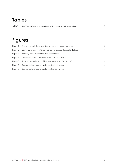## **Tables**

| Table 1 | Common reference temperature and summer typical temperature |  |
|---------|-------------------------------------------------------------|--|
|         |                                                             |  |
|         |                                                             |  |

## **Figures**

| Figure 1 | End to end high-level overview of reliability forecast process        | 6  |
|----------|-----------------------------------------------------------------------|----|
| Figure 2 | Estimated average historical rooftop PV capacity factors for February | 17 |
| Figure 3 | Monthly probability of lost load assessment                           | 23 |
| Figure 4 | Weekday/weekend probability of lost load assessment                   | 23 |
| Figure 5 | Time of day probability of lost load assessment (all months)          | 23 |
| Figure 6 | Conceptual example of the forecast reliability gap                    | 25 |
| Figure 7 | Conceptual example of the forecast reliability gap                    | 25 |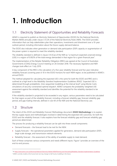## <span id="page-4-0"></span>**1. Introduction**

## <span id="page-4-1"></span>1.1 Electricity Statement of Opportunities and Reliability Forecasts

AEMO is required to publish an *Electricity Statement of Opportunities* (ESOO) for the National Electricity Market (NEM) annually under clause 3.13.3A of the National Electricity Rules (NER). The ESOO provides information that can help stakeholders plan their operations, investments and divestment over a 10-year outlook period, including information about the future supply-demand balance.

The ESOO also indicates when generation or demand side participation (DSP) capacity or augmentation of the power system is required to meet the reliability standard.

The reliability standard is defined in clause 3.9.3C(a) of the NER as "a maximum expected unserved energy (USE) in a region of 0.002% of the total energy demanded in that region for a given financial year".

The implementation of the Retailer Reliability Obligation (RRO) was agreed at the Council of Australian Governments (COAG) Energy Council meeting on 26 October 2018. The necessary legislative and NER changes took effect on 1 July 2019.

A key component of the RRO is the calculation of a five-year reliability forecast and five-year indicative reliability forecast (covering years 6-10 in the ESOO horizon) for each NEM region, to be published in AEMO's annual ESOO.

The method adopted for calculating the expected USE is the same for both the ESOO and RRO and is outlined at a high level in the *Reliability Standard Implementation Guidelines* (RSIG)<sup>1</sup> . Expected USE is determined through probabilistic, time-sequential modelling at the interval level<sup>2</sup> using Monte-Carlo simulations of security-constrained optimal dispatch. AEMO compares the probability-weighted USE assessment against the reliability standard and identifies the potential for the reliability standard to be exceeded.

If the reliability standard is projected to be exceeded in any region, various parameters need to be calculated for that region as part of the reliability forecast, including a forecast reliability gap, forecast reliability gap period, and gap trading intervals, defined in rule 4A of the NER and the National Electricity Law.

### <span id="page-4-2"></span>1.2 Structure

The intent of this *ESOO and Reliability Forecast Methodology* document (**ESOO Methodology**) is to explain the key supply inputs and methodologies involved in determining the expected USE outcomes, for both the ESOO and the reliability forecast. It also explains how the forecast reliability gap and forecast reliability gap period are determined.

The process for producing a reliability forecast can be split into three overall components:

- Demand forecasts the forecast load to be met for the NEM.
- Supply forecasts the operational parameters applied for generators, demand side participation (DSP), large-scale storage, and transmission network elements.
- Reliability forecast the assessment of the ability of available supply to meet demand.

Each of these comprises various components and needs different inputs. [Figure 1](#page-5-0) provides an overview of the end-to-end process.

<sup>1</sup> At [https://www.aemo.com.au/Electricity/National-Electricity-Market-NEM/Planning-and-forecasting/Reliability-Standard-Implementation-Guidelines.](https://www.aemo.com.au/Electricity/National-Electricity-Market-NEM/Planning-and-forecasting/Reliability-Standard-Implementation-Guidelines)

<sup>&</sup>lt;sup>2</sup> AEMO currently models at the hourly level, but may change to half-hourly modelling in the future.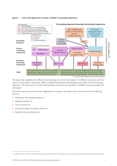#### <span id="page-5-0"></span>**Figure 1 End to end high-level overview of AEMO's Forecasting Approach**



The figure also highlights the different methodology documents that explain the different processes and their inputs in more detail. Collectively, AEMO's detailed forecasting methodologies are known as the Forecasting Approach. The latest versions of the methodology documents are available on AEMO's Forecasting Approach web page<sup>3</sup>.

This document focuses on the areas highlighted in orange in the figure and is structured into the following sections:

- Generation and storage (Section [2\)](#page-6-0).
- Network (Section [3\)](#page-12-0).
- Traces (Sectio[n 4\)](#page-14-0).
- Unserved energy calculation (Section [5\)](#page-17-0).
- Reliability forecast (Section [6\)](#page-20-0).

<sup>&</sup>lt;sup>3</sup> Available from https://aemo.com.au/en/energy-systems/electricity/national-electricity-market-nem/nem-forecasting-and-planning/forecasting-approach.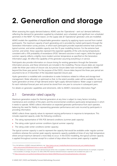## <span id="page-6-0"></span>**2. Generation and storage**

When assessing the supply-demand balance, AEMO uses the 'Operational – sent out' demand definition, reflecting the demand for generation supplied by scheduled, semi-scheduled, and significant non-scheduled generators in the NEM<sup>4</sup>. For that reason, on the supply side all 'Operational' generator units are modelled.

AEMO models the capabilities of dispatchable generation capacity by applying inputs sourced from market participants. The maximum capacity of each generating unit is provided by market participants through the Generation Information survey process, in which each participant provides expected extreme heat summer, typical summer, and winter available capacity over the 10-year modelling horizon. For the extreme heat summer, and winter, these capacities represent the expected capability of the units during temperatures consistent with a 10% probability of exceedance (POE)<sup>5</sup> demand outcome in each region, while the typical summer capacity reflects a slightly more modest summer temperature as specified on the Generation Information page. All reflect the capability of the generator assuming everything is in service.

Participants also provide information on closure timing for existing generators through the Generator Information process, and these retirements are included in the modelling. Precise closure dates are required under the three-year notice of closure rule, but precise closure dates have not been provided to AEMO beyond the three-year period. For the purpose of the ESOO, closure dates beyond the three-year period are assumed to be on 31 December of the stipulated expected closure year.

Hydro generation is modelled with consideration to water limitations related to inflows and storage level management. Water allocation is optimised so that, to the extent possible, water will be available for use by hydro generation at times of high demand and/or tight supply-demand balance. Water usage is optimised for each individual forecast year and cannot be stored from one year to consume in subsequent years.

<span id="page-6-1"></span>For details on generator capabilities and retirements, refer to AEMO's Generation Information Page<sup>6</sup>.

#### 2.1 Generator rated capacity

Maximum generation output for thermal generators at any time is subject to many factors including maintenance and condition of the plant, and the environmental conditions (particularly temperature) in which it needs to operate. AEMO collects information on expected generator performance from each operator, balancing the need for fidelity in representing generator performance and costs incurred by participants in providing information.

AEMO collects three capacity values to represent varying performance in response to temperature. This includes expected capacity under the following conditions:

- The rating representative of 10% POE demand conditions (summer peak capacity).
- The rating under typical summer conditions (typical summer capacity).
- The rating under winter conditions (winter capacity).

The typical summer capacity is used to represent the capacity that would be available under regular summer conditions whereas the summer peak capacity represents capacity available at times of very high temperature where annual maximum demand is more likely to occur. In the ESOO modelling, the typical summer capacity is applied throughout summer except for a subset of days where the summer peak capacity is applied.

<sup>&</sup>lt;sup>4</sup> For a full definition of AEMO's demand definitions, see [https://aemo.com.au/-/media/files/electricity/nem/security\\_and\\_reliability/dispatch/](https://aemo.com.au/-/media/files/electricity/nem/security_and_reliability/dispatch/policy_and_process/2020/demand-terms-in-emms-data-model.pdf) [policy\\_and\\_process/2020/demand-terms-in-emms-data-model.pdf.](https://aemo.com.au/-/media/files/electricity/nem/security_and_reliability/dispatch/policy_and_process/2020/demand-terms-in-emms-data-model.pdf)

<sup>5</sup> POE is the likelihood a maximum or minimum demand forecast will be met or exceeded. A 10% POE maximum demand forecast, for example, is expected to be exceeded, on average, one year in 10, while a 90% POE maximum demand forecast is expected to be exceeded nine years in 10.

<sup>6</sup> A[t https://www.aemo.com.au/Electricity/National-Electricity-Market-NEM/Planning-and-forecasting/Generation-information.](https://www.aemo.com.au/Electricity/National-Electricity-Market-NEM/Planning-and-forecasting/Generation-information)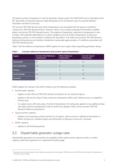The typical summer temperature is new for generator ratings used in the 2020 ESOO and is calculated as the 85<sup>th</sup> percentile of observed maximum daily temperatures for all reference years for periods between December and March (inclusive).

The summer 10% POE demand and winter temperatures are associated with the types of conditions conducive to 10% POE demand events. However, there is not a single temperature threshold or weather pattern that drives 10% POE demand events. The response of generator capacities to temperature is also complex, with potential dependencies on other variables such as humidity, temperatures in the hours preceding a period, or even weather conditions the day before. The winter and summer 10% POE demand reference temperatures are therefore considered a reasonable approximation of conditions associated with 10% POE demand events.

[Table 1](#page-7-1) lists the reference temperatures AEMO applies for each region when requesting generator ratings.

| Region                 | <b>Summer Peak Reference</b><br><b>Temperature</b> | <b>Winter Reference</b><br><b>Temperature</b> | <b>Summer Typical</b><br><b>Temperature</b> |
|------------------------|----------------------------------------------------|-----------------------------------------------|---------------------------------------------|
| Queensland             | 37                                                 | 15                                            | 32                                          |
| <b>New South Wales</b> | 42                                                 | 9                                             | 32                                          |
| Victoria               | 41                                                 | 8                                             | 32                                          |
| <b>South Australia</b> | 43                                                 | 11                                            | 35                                          |
| <b>Tasmania</b>        | 7.7                                                | 1.2                                           | $n/a^7$                                     |

<span id="page-7-1"></span>**Table 1 Common reference temperature and summer typical temperature**

AEMO applies the ratings to the ESOO model as per the following schedule:

- Summer peak capacity:
	- Applies to both 50% and 10% POE demand simulations for all mainland regions.
	- Applies to the top five days of daily maximum temperature within each reference year as mapped to forecast year.
	- To capture years with many days of extreme temperature, the rating also applies to any additional days with daily maximum temperatures that are within two degrees Celsius of the summer 10% POE demand reference temperature.
- Typical summer capacity:
	- Applies to all remaining summer periods for all regions, where summer is defined as November to March inclusive for mainland regions and December to February inclusive for Tasmania.
- Winter capacity:
	- Applies to all remaining periods.

### <span id="page-7-0"></span>2.2 Dispatchable generator outage rates

Dispatchable generators are assumed to be available at their peak summer, typical summer, or winter capacity unless they experience an unplanned (forced) outage.

<sup>7</sup> Tasmania summer ratings are based on peak demand periods driven by cold weather. AEMO only uses the 10% POE demand reference temperature for Tasmanian summer ratings.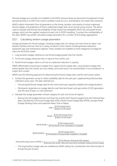Planned outages are currently not modelled in the ESOO, because these are assumed to be planned in lower demand periods or to shift if low reserve conditions were to occur, and therefore not impact USE outcomes.

AEMO collects information from all generators on the timing, duration, and severity of actual unplanned forced outages, and projections of future unplanned outage rates via an annual survey process. This data is used to calculate and forecast the probability of high impact low probability (HILP), full, and partial forced outages, which are then applied randomly to each unit in ESOO modelling. To protect the confidentiality of this data, AEMO may publish calculated outage parameters for a number of technology aggregations.

#### <span id="page-8-0"></span>2.2.1 Calculating random outage parameters

Outage parameters for forced outages, including outage rates, de-ratings, and mean times to repair, vary between facilities and over time for a variety of reasons. Some reasons include generator behaviour, equipment age, and maintenance regimes. These variables are modelled as three categories of outage for input into the ESOO model:

- 1. Long duration outages, defined as a full forced outage greater than five months.
- 2. Full forced outages, being less than or equal to five months, and
- 3. Partial forced outages, where a unit has an unplanned reduction in capacity.

AEMO differentiates long duration outages from regular forced outage rates. Long duration outages that extend greater than five months are very unlikely, and could result in an overestimation if not considered in a longer-term context.

AEMO uses the following approach for determining the forced outage rates used for each power station:

- Conduct the generator survey to collect availability data for the past year, supplementing historical data collected in prior years. The data collected are:
	- Full and partial forced outage data for the most recent year (capacity available and outage duration).
	- Participants' projections on outage data for coal-fired and closed-cycle gas turbine (CCGT) generators over the next 10 years, or until retirement.
- Calculate the outage parameters of each category for each unit across all regions.
	- Remove any full outages that are more than five months (HILP forced outages) from the historical base data. Calculate the Full Forced Outage Rate (FOR), Partial Forced Outage Rate (PFOR), average Partial Outage Derating Factor and respective Mean Time to Repair.

$$
FOR = \frac{\sum Full\,outage\,hours}{\sum Hours\,in\,all\,states}
$$

 $PFOR = \frac{\sum Partial\,outage\,hours}{\sum H_{xy} \sum m\,all\,static}$ ∑ Hours in all states

 $MTR(FOR) = \frac{\sum Full\,outage\,hours}{\sum T_{\text{new}}(x,y,z)}$  $\Sigma$ Transitions from unvailable to available

 $MTTR (PFOR) = \frac{\sum Full \, outage \, hours}{\sum Full \, outage \, hours}$  $\Sigma$ Transitions from partially available to available

Partial Derating Factor (PFOR) =  $\sum$  Lost Energy during partial outages  $\Sigma$  Energy that would otherwise have been available without partial outage

– The long duration outage rates are modelled by AEMO, taking into consideration the historical data of at least the past 10 years.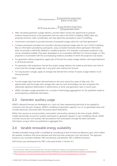FOR (long duration)  $=\frac{\sum Long \ duration$  outage hours ∑ Hours in all states

MTTR (long duration)  $=$   $\frac{\sum$  Long duration outage hours ∑ Long duration events

- After calculating generator outage statistics, provide station owners the opportunity to propose evidence-based revisions to the parameters that are used in the ESOO modelling. AEMO takes any proposed revisions under consideration and may adjust the assumptions used in modelling.
- Commission consultants to provide forecasts of projected outage values for coal-fired generators<sup>8</sup>.
- Compare participant-provided and consultant-derived projected outage rates for use in ESOO modelling. Rely on information provided by participants, using consultant forecasts where participant information does not provide a sufficiently detailed or suitable projection. (For example, a participant projection may not be considered suitable if has been developed on an inconsistent definition of a forced outage, or if the projection is inconsistent with the accompanying evidence provided on which the projection was based.)
- For generators without projections, apply each of the last four yearly outage statistics with equal likelihood to all forecast periods.
- For generators with projections, the last four yearly outage statistics are scaled up and down over time to ensure that the average outage rate in any given year matches the forecast.
- For long duration outages, apply an average rate derived from at least 10-yearly outage statistics to all forecast periods.

Note:

- Forced outage rates have been derived based on the most recent four years of data only. This approximates well the longer-term outage rates seen by most technologies, but also recognises the statistically significant deterioration in performance of some coal generators seen in recent years.
- AEMO calculates outage parameters for a number of technology aggregations for the published model to avoid exposing confidential information.

### <span id="page-9-0"></span>2.3 Generator auxiliary usage

AEMO's demand forecasts are developed on a 'sent-out' basis representing electricity to be supplied to customers from the grid. However, AEMO's modelling of generator capacity is on an 'as-generated' basis and includes electricity consumed within the power plants themselves.

Rather than assume an annual auxiliary consumption and auxiliary demand at the time of peak, AEMO's models dynamically account for auxiliary load based on generator dispatch in each modelling interval. AEMO currently sources per-unit auxiliary rate assumptions from participants through the latest Generator Information surveys<sup>9</sup> which are published in aggregate form.

## <span id="page-9-1"></span>2.4 Variable renewable energy availability

Variable renewable energy (VRE) is modelled by considering at least 10 historical reference years, which reflect the weather conditions that drove demand and wind and solar production over that period. This approach preserves any correlation between VRE and demand, and between VRE in different locations.

Half-hourly trace development for VRE is discussed further in Section [4.3.](#page-14-3)

<sup>&</sup>lt;sup>8</sup> For the 2020 ESOO, AEMO commissioned AEP Elical. Their report 'Assessment of Ageing Coal-Fired Generation Reliability' is at

[http://www.aemo.com.au/Electricity/National-Electricity-Market-NEM/Planning-and-forecasting/NEM-Electricity-Statement-of-Opportunities.](http://www.aemo.com.au/Electricity/National-Electricity-Market-NEM/Planning-and-forecasting/NEM-Electricity-Statement-of-Opportunities)

<sup>9</sup> A[t https://www.aemo.com.au/Electricity/National-Electricity-Market-NEM/Planning-and-forecasting/Generation-information.](https://www.aemo.com.au/Electricity/National-Electricity-Market-NEM/Planning-and-forecasting/Generation-information)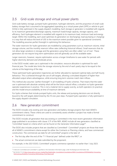## <span id="page-10-0"></span>2.5 Grid-scale storage and virtual power plants

Grid-scale battery storage, pumped hydro generation, hydrogen elements, and the proportion of small-scale battery storage that is assumed to be aggregated (operating as a virtual power plant [VPP] or vehicle to grid [V2G]) is fully optimised in the supply dispatch modelling. Each storage or generator is modelled with regards to its maximum generation/discharge capacity, maximum load/charge capacity, storage capacity, and efficiency. Each hydrogen element is modelled with regards to its maximum load, minimum load and energy target. Within the modelling, each asset optimises its generation (or discharging), load (pumping or charging) in a way that will reduce the level of USE to the maximum extent possible given its operational constraints. The modelling assumes perfect foresight in optimising this behaviour.

The water reservoirs for hydro generation are modelled by using parameters such as maximum volume, initial storage volume, and the monthly reservoir inflow rates (reflecting historical inflows). Small reservoirs that do not allow large variations in storage and the generators using them are often called 'run of river'. These generators do not require long-term optimisation and will generally use all the available water.

Larger reservoirs, however, require optimisation across a longer timeframe to save water for periods with higher electricity demand and wholesale prices.

In the ESOO model, water use is optimised in the simulation, resource allocation is optimised for each financial year. The model also limits the storage volume by the end of each yearly step to be equal to the volume at the beginning of the step.

These optimised hydro generation trajectories are further allocated to represent optimal daily and half-hourly behaviour. This is achieved through the use of soft targets, allowing a simulated dispatch of higher than allocated output where advantageous, while ensuring long term volumes match dam inflows.

This method also assumes "perfect foresight" in all modelling of hydro schemes. That means that the water use is optimised with absolute certainty what will be the future natural inflow, a situation no hydro generator operator experiences in practice. This is not a material risk to supply scarcity, as both operators (in practice) and the model ensure availability at time of maximum demand.

For hydro schemes that include pumped hydro units, the release and pumping decisions are not directly bound to the soft targets determined by the 10 one-year steps. Pumped hydro operation is fully optimised in the supply dispatch simulation.

### <span id="page-10-1"></span>2.6 New generator commitment

The ESOO includes only existing and new generation and battery storage projects that meet AEMO's commitment criteria. These criteria are used to consistently assess whether a project has made a formal commitment to construct.

The ESOO includes all generation that was existing or committed in the most recent generation information page published in accordance with clause 3.7F of the NER. AEMO include all new generators classified as 'Committed' based on criteria which can be found on the Generator Information page $10$ .

The ESOO also includes projects that are classified as Committed\*. Committed\* projects are those that meet all of AEMO's commitment criteria except for either the Contracts or Planning criteria, and have commenced construction. The commercial use date for all Committed\* projects is the later of:

- The first day after the end of the "T-1 financial year" defined under the RRO<sup>11</sup>, or
- The actual commercial use date submitted by the proponent.

For example, in the 2021 ESOO, Committed\* projects commence operation no earlier than 1 July 2023.

<sup>&</sup>lt;sup>10</sup> Criteria for Committed and Committed\* is specified on the Generation Information page, under the Background information tab.

<sup>11</sup> See Section 5.3 at [https://www.aemo.com.au/-/media/Files/Stakeholder\\_Consultation/Consultations/NEM-Consultations/2019/Reliability-Forecasting-](https://www.aemo.com.au/-/media/Files/Stakeholder_Consultation/Consultations/NEM-Consultations/2019/Reliability-Forecasting-Methodology/Reliability-Forecasting-Methodology-Final-Report.pdf)[Methodology/Reliability-Forecasting-Methodology-Final-Report.pdf.](https://www.aemo.com.au/-/media/Files/Stakeholder_Consultation/Consultations/NEM-Consultations/2019/Reliability-Forecasting-Methodology/Reliability-Forecasting-Methodology-Final-Report.pdf)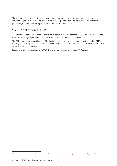The intent of this approach is to strike an appropriate balance between conservatism and optimism, by including projects that are likely to proceed without incorporating projects with a higher probability of not proceeding or being delayed beyond their announced completion date.

## <span id="page-11-0"></span>2.7 Application of DSP

AEMO incorporates a DSP forecast in the reliability forecast produced for the ESOO. DSP is modelled in the ESOO for each region in various quantities of firm capacity at different price bands.

The DSP forecast that is used in the ESOO highlights the risk of shortfalls to determine the need for RERT capacity, so the analysis excludes RERT it in the first instance, and is modelled as a last resource before a USE event occurs in the simulation.

Further information is available in AEMO's *Demand Side Participation Forecast Methodology*<sup>12</sup> .

<sup>&</sup>lt;sup>12</sup> Se[e https://www.aemo.com.au/consultations/current-and-closed-consultations/demand-side-participation-forecast-methodology-consultation.](https://www.aemo.com.au/consultations/current-and-closed-consultations/demand-side-participation-forecast-methodology-consultation)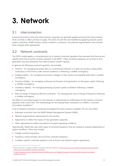## <span id="page-12-0"></span>**3. Network**

#### <span id="page-12-1"></span>3.1 Interconnectors

Existing transmission limits and interconnector capacities are generally applied assuming the interconnector limits currently in effect continue to apply. The limits on each line are modelled by applying dynamic power system constraints. AEMO reviews current conditions, constraints, and planned augmentations and includes these changes when appropriate.

#### <span id="page-12-2"></span>3.2 Network constraints

The ESOO model applies a comprehensive set of network constraint equations that represent the thermal and stability limits that currently constrain dispatch in the NEM<sup>13</sup>. These constraint equations act at times to limit generation, but also frequently limit interconnector transfer capacity.

In general, the following constraint equations are included:

- Thermal for managing the power flow on a transmission element so it does not exceed a rating (either continuous or short-term) under normal conditions or following a credible contingency.
- Voltage stability for managing transmission voltages so they remain at acceptable levels after a credible contingency.
- Transient stability for managing continued synchronism of all generators on the power system following a credible contingency.
- Oscillatory stability for managing damping of power system oscillations following a credible contingency.
- Rate of change of frequency (RoCoF) constraints for managing the rate of change of frequency following a credible contingency.

The effect of committed projects on the network is implemented as modifications to the network constraint equations that control flow. The methodology for formulating these constraints is in AEMO's *Constraint Formulation Guidelines*<sup>14</sup> .

A set of network constraints is produced and applied for every scenario modelled. This set may reflect:

- Extracted constraints from the AEMO Market Management Systems (MMS).
- Network augmentations appropriate for the scenario.
- Adjustments to reflect the impact of new generation capacities.
- Other adjustments to reflect assumptions of system operating conditions.

Operationally, AEMO also uses other types of constraint equations that are invoked as required depending on system conditions. These may include:

- Outage constraint equations.
- Frequency control ancillary service (FCAS) constraint equations.
- Condition-specific constraint equations such as RoCoF and network support agreements.

<sup>&</sup>lt;sup>13</sup> Further information is available at AEMO's Congestion Information Resource at [https://www.aemo.com.au/Electricity/National-Electricity-Market-](https://www.aemo.com.au/Electricity/National-Electricity-Market-NEM/Security-and-reliability/Congestion-information)[NEM/Security-and-reliability/Congestion-information.](https://www.aemo.com.au/Electricity/National-Electricity-Market-NEM/Security-and-reliability/Congestion-information)

<sup>14</sup> At https://www.aemo.com.au/-/media/Files/Electricity/NEM/Security\_and\_Reliability/Congestion-Information/2016/Constraint\_Formulation [Guidelines\\_v10\\_1.pdf.](https://www.aemo.com.au/-/media/Files/Electricity/NEM/Security_and_Reliability/Congestion-Information/2016/Constraint_Formulation_Guidelines_v10_1.pdf)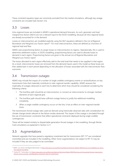These constraint equation types are commonly excluded from the market simulations, although key outage constraints are included (See Section [3.4\)](#page-13-1).

#### <span id="page-13-0"></span>3.3 Losses

Intra-regional losses are included in AEMO's operational demand forecasts. As such, generator and load marginal loss factors (MLFs) are not a relevant input to the ESOO modelling, because all intra-regional losses are already accounted for in the demand.

Losses on interconnectors are modelled explicitly using the MLF equations defined in the *List of Regional Boundaries and Marginal Loss Factors report*<sup>15</sup> . For most interconnectors, these are defined as a function of regional load and flow.

AEMO uses proportioning factors to assign losses on interconnectors to regions. Operationally, this is used to determine settlement surplus. In ESOO modelling, proportioning factors are used to allocate losses to demand in each region. Proportioning factors are given in the annual *List of Regional Boundaries and Marginal Loss Factors report*.

The losses allocated to each region effectively add to the total load that needs to be supplied in that region. As a result, interconnector losses are removed from the demand inputs used in the model as these losses are then added back in each period depending on the allocation of losses associated with the interconnector flow outcomes.

#### <span id="page-13-1"></span>3.4 Transmission outages

AEMO may include the impact of a number of single credible contingency events or reclassifications on key transmission lines that materially contribute to inter-regional transfer capability. AEMO assesses the materiality of outages observed on each line to determine which lines should be considered considering the following criteria:

- 1. The line/flow path should be an interconnector; or connect an interconnector to stronger meshed elements of each regional grid.
- 2. The line/flow path should have sufficient outage history to justify the additional modelling complexity.
- 3. When a single credible contingency occurs on the line, it has an effect on inter-regional transfer limits.

The transmission forced outage rates used are derived using historically observed rates with consideration for climate change trends relevant to the failure modes observed. The impact of the outage is simulated through the use of transmission constraints that reflect operational constraints deployed during single credible contingencies.

These will be treated similarly to dispatchable generation forced outages in the modelling, through Monte Carlo simulations as explained in Section [2.2.1.](#page-8-0)

## <span id="page-13-2"></span>3.5 Augmentations

Network upgrades that have passed a regulatory investment test for transmission (RIT-T)<sup>16</sup> are considered committed and are included in the modelling. Other minor augmentations not subject to RIT-Ts may be included if they are also judged to be committed.

<sup>15</sup> AEMO. *Loss Factors and Regional Boundaries*, at [http://www.aemo.com.au/Electricity/National-Electricity-Market-NEM/Security-and-reliability/Loss-factor](http://www.aemo.com.au/Electricity/National-Electricity-Market-NEM/Security-and-reliability/Loss-factor-and-regional-boundaries)[and-regional-boundaries.](http://www.aemo.com.au/Electricity/National-Electricity-Market-NEM/Security-and-reliability/Loss-factor-and-regional-boundaries)

<sup>&</sup>lt;sup>16</sup> Further RIT-T information is a[t https://www.aemo.com.au/Electricity/National-Electricity-Market-NEM/Planning-and-forecasting/Victorian-transmission](https://www.aemo.com.au/Electricity/National-Electricity-Market-NEM/Planning-and-forecasting/Victorian-transmission-network-service-provider-role/Regulatory-investment-tests-for-transmission)[network-service-provider-role/Regulatory-investment-tests-for-transmission.](https://www.aemo.com.au/Electricity/National-Electricity-Market-NEM/Planning-and-forecasting/Victorian-transmission-network-service-provider-role/Regulatory-investment-tests-for-transmission)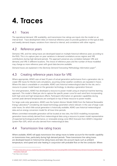## <span id="page-14-0"></span>**4. Traces**

### <span id="page-14-1"></span>4.1 Traces

The operational demand, VRE availability, and transmission line ratings are inputs into the model on an interval level. Trace development relies on historical reference years to provide guidance on the typical daily and weekly demand shapes, variations from interval to interval, and correlations with other regions.

#### <span id="page-14-2"></span>4.2 Reference years

Demand, VRE, and line rating traces are developed based on multiple historical reference years according to the RSIG. This is to capture year-on-year variations in demand correlations across regions and VRE contributions during high demand periods. This approach preserves any correlation between VRE and demand, and VRE in different locations. The choice of reference years and the number of those modelled may change as more reference years with good data become available.

Demand traces are explained in the *Electricity Demand Forecasting Methodology Information paper<sup>17</sup>.* 

#### <span id="page-14-3"></span>4.3 Creating reference years trace for VRE

Where appropriate, AEMO uses at least 10 years of actual generation performance from a generation site, to create VRE traces for Monte Carlo simulations, assuming similar weather conditions are repeated in future. Where this data is unavailable or unsuitable, AEMO uses historical meteorological data for the site, and a resource to power model based on the generator technology, to develop a generation forecast.

For wind generators, AEMO has developed a resource to power model using an empirical machine learning approach. This model is fitted per site to capture the specific power curve for each wind farm incorporating both high wind and high temperature effects. Participant information on generator capabilities during summer peak demand temperatures are overlayed on top of these resource to power models.

For large-scale solar generators, AEMO uses the System Advisor Model (SAM) from the National Renewable Energy Laboratory<sup>18</sup> considering site-based technology parameters where relevant. In the case of large-scale solar traces, for which little actual generation is historically available, AEMO uses historical meteorological data and an energy conversion model for all trace time-periods.

Where committed renewable generation will be located at new sites, the ESOO modelling incorporates generation traces entirely derived from meteorological data using a resource to power model representative of expected technological performance, or renewable energy zone (REZ) forecasts from AEMO's *Integrated System Plan* (ISP), which are also derived from meteorological data.

### <span id="page-14-4"></span>4.4 Transmission line rating traces

Where available, AEMO will apply transmission line ratings traces to better account for the transfer capability on transmission lines, particularly during high demand periods. These transmission line rating traces are developed based on historical line rating traces and take into account inputs such as ambient temperature, wind speed and solar heating in conjunction with probable flow on the line conductor. Where

<sup>17</sup> At [https://www.aemo.com.au/-/media/Files/Electricity/NEM/Planning\\_and\\_Forecasting/NEM\\_ESOO/2019/Electricity-Demand-Forecasting-Methodology-](https://www.aemo.com.au/-/media/Files/Electricity/NEM/Planning_and_Forecasting/NEM_ESOO/2019/Electricity-Demand-Forecasting-Methodology-Information-Paper.pdf)[Information-Paper.pdf.](https://www.aemo.com.au/-/media/Files/Electricity/NEM/Planning_and_Forecasting/NEM_ESOO/2019/Electricity-Demand-Forecasting-Methodology-Information-Paper.pdf) 

<sup>18</sup> See https://sam.nrel.gov/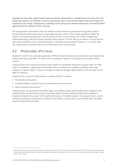available, the input data utilises locally measured weather observations in modelling the line rating trace. The model also analyses the limitation of various transmission plant in the terminal station that would impact the transmission line ratings. Subsequently, modelling results using actual weather observations are benchmarked against actual line ratings to ensure accuracy.

The actual weather observations from the reference years will then be processed through this model to develop forward-looking line traces for each reference year, which is then further adjusted to reflect the impact of increasing temperatures over the forecast horizon on line ratings. The climate change factor implemented aligns with the scenario specified where relevant. The line ratings are used as an input into the right-hand-side (RHS) of the constraint equations calculated and described in Section [3.2.](#page-12-2) Lines with static line ratings utilise constraints that are not influenced by time-varying traces.

#### <span id="page-15-0"></span>4.5 Photovoltaic (PV) traces

Rooftop PV and PV non-scheduled generation (PVNSG) reduce the electricity consumption and demand that needs to be met by the NEM. The extent of this contribution depends on the generation profile of these systems.

Capacity factors are a measure of power output relative to nameplate capacity at any given time. For fixed solar PV installations, capacity factors generally follow a parabolic arch, peaking at midday, when solar irradiance is highest. [Figure 2](#page-16-1) shows an example of historical average capacity factor curves by state, for the NEM, for February.

Capacity factor curves are influenced by a number of factors including:

- The latitude of the panels.
- Localised weather conditions (such as temperature and cloud cover).
- Panel inclination and azimuth<sup>19</sup>.

Capacity factors are derived for each NEM region at all reference year periods (half-hourly resolution). The capacity factors are derived from external provider Solcast, whereby satellite-derived solar irradiance is coupled to models that account for the spatial distribution of installed capacity. The capacity factors used to estimate the forecast contribution of rooftop PV and PVNSG to consumption and demand were calculated based on these historical values.

<sup>19</sup> Inclination refers to the angle of the panel relative to horizontal and azimuth refers to the direction that the panel faces, with North facing panels generally having higher overall capacity factors. Western facing panels have higher capacity factors in the afternoon, and Eastern facing panels have higher capacity factors in the morning.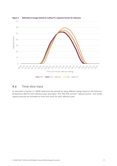

#### <span id="page-16-1"></span>**Figure 2 Estimated average historical rooftop PV capacity factors for February**

#### <span id="page-16-0"></span>4.6 Time-slice trace

As described in Section [2.1,](#page-6-1) AEMO determine the periods for three different ratings based on the historical temperature data for each reference year and region. The '10% POE summer', 'typical summer', and 'winter' capacity periods are formatted as time-slice traces for each reference year.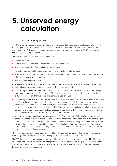## <span id="page-17-0"></span>**5. Unserved energy calculation**

### <span id="page-17-1"></span>5.1 Simulation approach

AEMO's reliability assessments are based on a full time-sequential model that simulates each interval of the modelling horizon. This model replicates the NEM dispatch engine (NEMDE) to the extent possible by minimising cost of dispatch per interval subject to a number of physical constraints. AEMO currently uses the PLEXOS modelling tool for this.

The key assumptions that drive this model include:

- Interval level demand.
- Interval level wind and solar availability for each VRE generator.
- The seasonal capacity of each scheduled generating unit.
- Forced outage parameters used to account for unplanned generator outages.
- Transmission limitations, represented by transmission line ratings, interconnector limits and a detailed set of transmission constraint equations.
- The level of DSP in each region.

AEMO assesses reliability in the medium to long term by determining a statistical expectation of USE. This modelling takes into account uncertainty by using the following methods:

- **Uncertainty in maximum demand** the modelling accounts for this uncertainty by modelling multiple maximum demand cases, defined by the POE of the maximum demand value. The outcomes of these different scenarios are then weighted as described in Section [5.2.2.](#page-18-1)
- **Uncertainty in demand and VRE patterns** reliability outcomes are influenced by the pattern of demand and the available generation from VRE at the time of high demand. AEMO uses multiple historical reference years of demand, wind generation, solar generation, and transmission line ratings. This approach captures the diversity in demand and VRE patterns while maintaining correlation between these variables and across different geographical locations. It also ensures that effects of heatwaves, and other weather events observed in history, are captured in the simulations.
- **Uncertainty in unplanned generation outages** AEMO uses a Monte Carlo simulation approach to capture the range of availability provided by scheduled generation. Within each simulation, the timing and duration of full and partial outages of each generating unit are independently determined, based on the forced outage parameters applied in the model. Each simulation therefore has a unique set of generator outage patterns. Simulating many outage patterns ensures the modelling captures a range of availability outcomes due to unplanned outages.

The Monte Carlo simulation approach is applied to each maximum demand and reference year, creating statistically robust results which capture the impact of uncertainties around key parameters.

The ESOO assesses different scenarios that vary with respect to the pace of change in the NEM. Differences in underlying demand growth, distributed energy resources (DER) uptake, and timing of coal-fired generation closures are observed across the scenarios. The approach above is repeated for each of those, to present USE for each of the scenarios separately.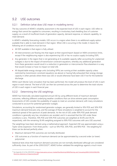### <span id="page-18-0"></span>5.2 USE outcomes

#### 5.2.1 Definition (what does USE mean in modelling terms)

The key outcome of AEMO's reliability assessment is the expected level of USE in each region. USE refers to energy that cannot be supplied to consumers, resulting in involuntary load shedding (loss of customer supply), as a result of insufficient levels of generation capacity, demand response, or network capability, to meet demand.

In AEMO's reliability forecasting models, USE occurs in a region when there is no additional supply option available that is able to meet demand in that region. When USE is occurring in the model, it means the following set of conditions must be true:

- All DSP available in that region is fully utilised.
- All interconnectors are flowing into that region at their export/import (based on NEM convention) limits, except if the neighbouring region is also experiencing USE or has no surplus supply (including DSP).
- Any generator in the region that is not generating at its available capacity (after accounting for unplanned outages) is due to the impact of transmission constraint equations, whereby any additional generation from these generators would result in a reduction in generation or interconnector flow elsewhere in a way that would increase or have no impact on total USE.
- All dispatchable energy storage units (including VPPs) are running at their available capacity unless restricted by transmission constraint equations (as above) or having fully exhausted their energy storage capacity in other periods where there was USE or would otherwise have been USE if not for the batteries' discharge.

Within each Monte Carlo simulation that has been performed, the model will produce the level of USE in each region in each interval. The level of USE can then be summed across the year to determine the total volume of USE in each region in each financial year.

#### <span id="page-18-1"></span>5.2.2 Determining the USE weightings

AEMO has historically calculated expected annual USE by using different levels of maximum demand outcomes, reflecting different underlying weather conditions that can drive extreme peak consumption. Assessments of USE consider the availability of supply to meet an uncertain demand, with many simulations conducted to account for potential generator outages.

Simulations, accounting for randomised generator outages, are generally limited to 10% POE and 50% POE maximum demand forecasts only, and the average of these simulations is weighted to account for the statistical spread of the spectrum of peak demands. As the risk of USE under 90% POE peak demand conditions is generally very low, simulations are avoided, and it is assumed that the USE under these conditions is zero. Therefore, 10% POE and 50% POE outcomes are weighted at 30.4% and 39.2% respectively, with the remaining 30.4% weighting assigned to 90% POE outcomes with zero USE assumed.

The weightings have been derived using a mathematical approach. Expected USE was approximated using a Taylor series expansion. From three points – such as 10% POE, 50% POE, and 90% POE – the weighting for these can be derived perfectly when:

- Maximum demand POE outcomes are normally distributed.
- USE outcomes as a function of maximum demand can be approximated by a second order (or lower) polynomial.

Statistical tests show that maximum demand outcomes are not normally distributed although are considered sufficiently close. As part of the 2018  $ESOO<sup>20</sup>$ , AEMO further validated the weightings against a much more

<sup>&</sup>lt;sup>20</sup> See Appendix A3 of the 2018 ESOO at [https://www.aemo.com.au/-/media/Files/Electricity/NEM/Planning\\_and\\_Forecasting/NEM\\_ESOO/2018/2018-](https://www.aemo.com.au/-/media/Files/Electricity/NEM/Planning_and_Forecasting/NEM_ESOO/2018/2018-Electricity-Statement-of-Opportunities.pdf) [Electricity-Statement-of-Opportunities.pdf.](https://www.aemo.com.au/-/media/Files/Electricity/NEM/Planning_and_Forecasting/NEM_ESOO/2018/2018-Electricity-Statement-of-Opportunities.pdf)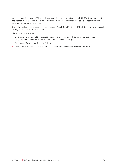detailed approximation of USE in a particular year using a wider variety of sampled POEs. It was found that the mathematical approximation derived from the Taylor series expansion worked well across analysis of different regions and different years.

Using this mathematical approach, the three points – 10% POE, 50% POE, and 90% POE – have weightings of 30.4%, 39. 2%, and 30.4% respectively.

The approach is therefore to:

- Determine the average USE in each region and financial year for each demand POE level, equally weighting all reference years and all simulations of unplanned outages.
- Assume the USE is zero in the 90% POE case.
- Weight the average USE across the three POE cases to determine the expected USE value.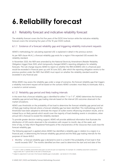## <span id="page-20-0"></span>**6.Reliability forecast**

## <span id="page-20-1"></span>6.1 Reliability forecast and indicative reliability forecast

The reliability forecast covers the first five years of the ESOO time horizon while the indicative reliability forecast covers the remaining five years of the 10-year ESOO outlook.

#### 6.1.1 Existence of a forecast reliability gap and triggering reliability instrument requests

AEMO's methodology for calculating expected USE is explained in detail in the previous section.

As per NER clause 4A.A.2, a forecast reliability gap exists for a region if the expected USE exceeds the reliability standard.

In November 2020, the NER were amended by the National Electricity Amendment (Retailer Reliability Obligation trigger) Rule 2020, which temporarily changed AEMO's reporting obligations for reliability forecasts. The rule change requires AEMO to report on whether the IRM (0.0006% USE in a financial year) would be exceeded in financial years up until 30 June 2025, after which the reporting obligation reverts to the previous position under the NER: that AEMO must report on whether the reliability standard would be exceeded in any financial year.

While AEMO may assess the reliability gap under a range of scenarios, the forecast reliability gap that triggers a reliability instrument request will be based on the scenario AEMO considers most likely to eventuate, that is, a neutral or central scenario.

#### 6.1.2 Reliability gap period and likely trading intervals

In the event that a forecast reliability gap is identified for either T-1 or T-3<sup>21</sup>, AEMO determines the forecast reliability gap period and likely gap trading intervals based on the interval USE outcomes observed in the market simulations.

AEMO uses thresholds on the probability of lost load to determine the forecast reliability gap period and set of likely gap trading intervals where a forecast reliability gap has been identified. This methodology and the thresholds have been adopted to eliminate the impact of outlier events influencing simulation results, and to instead focus on likely periods which would cover the majority of load shedding events in simulations, when annual USE is forecast to exceed the reliability standard.

To provide greater decision-making support, AEMO will provide additional information that illustrates the distribution of USE events observed in the simulations with respect to month, day-of-the-week, and time-of-day, to help inform Registered Participants of the characteristics of the resources that could close the forecast reliability gap.

The following approach is applied where AEMO has identified a reliability gap in relation to a region in a financial year, in determining the forecast reliability gap period and the likely gap trading intervals for the purposes of clause 4A.B.2:

• Monthly – a forecast reliability gap is declared to exist in a month if the probability of lost load in that month exceeds 10%<sup>22</sup>. The months identified are then used to determine the start and end date of the

<sup>&</sup>lt;sup>21</sup> T-3 and T-1 refer to reliability assessments three years out and one year out respectively. For example, for a reliability assessment conducted in August 2020, the T-1 period refers to the 2021-22 financial year.

<sup>&</sup>lt;sup>22</sup> Subject to adjustment if, and only if, the forecast reliability gap is incalculable – see Section 6.1.3 for details.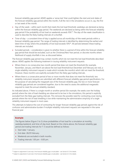forecast reliability gap period. AEMO applies a 'sense test' that could tighten the start and end dates of the forecast reliability gap period within the month, if all the risk in the simulations occurs in, say, the first or last week of the month.

- Day-of-the-week within each month that meets the lost load threshold, weekdays are declared as being within the forecast reliability gap period. The weekends are declared as being within the forecast reliability gap period if the probability of lost load on weekends exceeds  $10\%^{23}$ . The day-of-the-week classification is used to describe the likely trading intervals of a shortfall.
- Time-of-day a consistent time-of-day is applied across all month/day-of-the-week periods within a forecast reliability gap period. The range of trading intervals is identified by determining the earliest and latest time-of-day where the probability of lost load exceeds  $10\%^{24}$ . All periods between these trading intervals are included.
- Excluded periods consideration is given to whether there is a period of time within the forecast reliability gap period that should be excluded, such as the Christmas/New Year period, or discrete months where likelihood of supply shortfalls is low, as discussed below.

The forecast reliability gap period may contain months which do not meet the lost load thresholds described above. AEMO applies the following treatment in issuing reliability instrument requests:

- Where there is no consecutive two-month period that does not meet the threshold (for example, November, January, and March are above the lost load threshold but December and February are not), a single reliability instrument request is made which includes the month/s which did not meet the threshold. However, these month/s are explicitly excluded from the likely gap trading intervals.
- Where there is a consecutive period of two or more months that does not meet the threshold, two reliability instrument requests are submitted with different forecast reliability gap period specifications. For the purpose of calculating the megawatt size of the forecast reliability gap, the two or more forecast reliability gap periods are considered together, due to the need to assess the additional megawatts required to meet the annual reliability standard.

As indicated above, if there is a single month or another period (for example, the weeks over the holiday period) where the risks of load shedding are observed to be low in the simulations, this period is explicitly excluded from the likely gap trading intervals. This removes the possible need for contracting cover during periods where the risk of load shedding is low while maintaining the administrative simplicity of a single reliability instrument request in most cases.

This attempts to balance the cost of contracting for longer forecast reliability gap periods against the risk of confusion and administrative burden if multiple reliability instrument requests are requested in the same financial year.

#### **Example**

The figures below [\(Figure 3](#page-22-0) to 5) show probabilities of lost load for a simulation at monthly, weekday/weekend, and time-of-day level. Based on the criteria above, the forecast reliability gap period and trading intervals for T-3 would be defined as follows:

- Start date: 1 January.
- End date: 28/29 February.
- Weekends are excluded in both months.
- Trading intervals: 1.00 pm 8.00 pm.

<sup>&</sup>lt;sup>23</sup> Subject to adjustment if, and only if, the forecast reliability gap is incalculable – see Section 6.1.3 for details.

 $24$  Subject to adjustment if, and only if, the forecast reliability gap is incalculable – see Section 6.1.3 for details.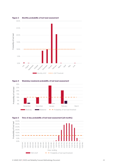

#### <span id="page-22-0"></span>**Figure 3 Monthly probability of lost load assessment**



<span id="page-22-1"></span>



<span id="page-22-2"></span>**Figure 5 Time of day probability of lost load assessment (all months)**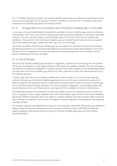For T-1 reliability instrument requests, the forecast reliability gap period and trading intervals are determined using the same approach, but are equal to, or further confined to, a subset of the T-3 reliability instrument request forecast reliability gap period and trading intervals.

#### 6.1.3 Arrangements for circumstances where the *forecast reliability gap* is incalculable

In rare cases, it may be mathematically impossible to calculate a forecast reliability gap using the substantive methodology. This is due to the *forecast reliability gap period* (where the probability of lost load exceeds 10%) being too narrow to capture enough unserved energy events for inclusion in the *forecast reliability gap* calculation. The outcome is that no forecast reliability gap can be determined that would reduce expected USE to the reliability standard. AEMO describes such a case as incalculable.

Should the calculation of the *forecast reliability gap* be incalculable, the calculation of the *forecast reliability gap period* (see Section 6.1.2) is progressively widened to include periods where the probability of lost load is less than 10%. The probability of lost load threshold will be iteratively reduced in 2% increments until the *forecast reliability gap* becomes calculable.

#### 6.1.4 Size of the gap

The size of the forecast reliability gap, expressed in megawatts, is determined by analysing the interval level USE across all simulations in each region where the USE exceeds the reliability standard. The size of the gap is calculated as the additional megawatts of capacity, assumed to be 100% available, during all identified trading intervals within the forecast reliability gap period only, that is required to reduce the annual expected USE to the reliability standard.

To better align with the actions available to liable entities under the RRO to ensure they have adequate contract coverage over the forecast reliability gap period, the size of the gap is determined based on the effective response that additional reserves could provide if only procured to cover the forecast reliability gap period and likely trading intervals identified. This means the gap (in megawatts) may be slightly larger than would otherwise be the case if those reserves were assumed to be available for the entire financial year.

The additional megawatts are assumed to be perfectly reliable and have no constraints such as a maximum hours of operation. Only a single megawatt value will be assessed per region for the entire forecast reliability gap period. Different megawatt values may apply for multiple reliability instrument requests within a financial year, although the objective is still to assess the additional reserves required to bring expected USE below the reliability standard.

A conceptual example is provided below in [Figure 6.](#page-24-0) In this example, some of the USE periods are specified as falling outside the forecast reliability gap period. The figure shows the impact of 200 MW of additional capacity applied to USE periods that occur during the forecast reliability gap period and likely trading intervals identified.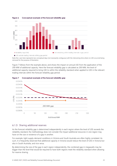

#### <span id="page-24-0"></span>**Figure 6 Conceptual example of the forecast reliability gap**

Note the x axis here represents two conceptual days (not necessarily contiguous) with the intervening time where no USE occurred being removed for the purpose of illustration.

[Figure 7](#page-24-1) follows from the example above, and shows the impact on annual USE from the application of the 200 MW of additional capacity. Here the forecast reliability gap is calculated as 200 MW, the level of additional capacity required to bring USE to within the reliability standard when applied to USE in the relevant trading intervals within the forecast reliability gap period.



#### <span id="page-24-1"></span>**Figure 7 Conceptual example of the forecast reliability gap**

#### 6.1.5 Sharing additional reserves

As the forecast reliability gap is determined independently in each region where the level of USE exceeds the reliability standard, the methodology does not consider the impact additional resources in one region may have on the size or existence of a gap in another.

For example, tight supply-demand conditions in Victoria and South Australia are often highly correlated. As such, it is frequently observed that additional capacity in Victoria would reduce the level of USE in Victoria but also in South Australia, and vice versa.

By determining the size of the gap in each region independently, the combined gap in megawatts may be bigger than the level that would be required to have both regions meet the reliability standard when allowing for reserve sharing.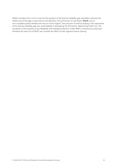AEMO considers this is not an issue for the purpose of the forecast reliability gap calculation, because the relative size of the gap is used only for the allocation of any Procurer of Last Resort (**POLR**) cost to non-compliant parties between the two (or more) regions. The exclusion of reserve sharing in the assessment of the forecast reliability gap was contemplated in developing the formula for determining POLR cost. The calculation of the quantity of any Reliability and Emergency Reserve Trader (RERT) contracts procured (and therefore the total cost of RERT) will consider the effect of inter-regional reserve sharing.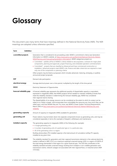## <span id="page-26-0"></span>**Glossary**

This document uses many terms that have meanings defined in the National Electricity Rules (NER). The NER meanings are adopted unless otherwise specified.

| Term                     | <b>Definition</b> |                                                                                                                                                                                                                                                                                                                                                                                                                                                                                                                                                                                                                                                                                                                                                                                                    |
|--------------------------|-------------------|----------------------------------------------------------------------------------------------------------------------------------------------------------------------------------------------------------------------------------------------------------------------------------------------------------------------------------------------------------------------------------------------------------------------------------------------------------------------------------------------------------------------------------------------------------------------------------------------------------------------------------------------------------------------------------------------------------------------------------------------------------------------------------------------------|
| committed projects       |                   | Generation that is considered to be proceeding under AEMO's commitment criteria (see Generation<br>Information on AEMO's website, at https://www.aemo.com.au/Electricity/National-Electricity-Market-<br>NEM/Planning-and-forecasting/Generation-information). AEMO categorises projects as:                                                                                                                                                                                                                                                                                                                                                                                                                                                                                                       |
|                          |                   | • Committed – satisfies all five of AEMO's criteria related to site acquisition, contracts for major plant<br>components, planning and approvals, project financing, and scheduled operation commencement.                                                                                                                                                                                                                                                                                                                                                                                                                                                                                                                                                                                         |
|                          |                   | • Committed* - projects that are classified as Advanced and have commenced construction or<br>installation. Advanced projects meet AEMO's site, finance and date criteria but are required to meet<br>only one of the components or planning criteria.                                                                                                                                                                                                                                                                                                                                                                                                                                                                                                                                             |
|                          |                   | Other projects may be listed as proposed, which includes advanced, maturing, emerging, or publicly<br>announced project proposals.                                                                                                                                                                                                                                                                                                                                                                                                                                                                                                                                                                                                                                                                 |
| <b>DSP</b>               |                   | Demand side participation                                                                                                                                                                                                                                                                                                                                                                                                                                                                                                                                                                                                                                                                                                                                                                          |
| electrical energy        |                   | Average electrical power over a time period, multiplied by the length of the time period.                                                                                                                                                                                                                                                                                                                                                                                                                                                                                                                                                                                                                                                                                                          |
| <b>ESOO</b>              |                   | Electricity Statement of Opportunities                                                                                                                                                                                                                                                                                                                                                                                                                                                                                                                                                                                                                                                                                                                                                             |
| forecast reliability gap |                   | A forecast reliability gap represents the additional quantity of dispatchable capacity or equivalent,<br>expressed in megawatts (MW), that AEMO projects will be needed to maintain reliability at levels that<br>meet the reliability standard. In determining this forecast reliability gap, AEMO has considered<br>inter-regional reserve sharing.<br>The dispatchability of an energy resource can be considered as the extent to which its output can be<br>relied on to 'follow a target', and incorporates how controllable the resources are, how much they can be<br>relied upon, and how flexible they are. For more, see AEMO's Power System Technical Requirements,<br>March 2018, at http://www.aemo.com.au/Electricity/National-Electricity-Market-NEM/Security-and-<br>reliability. |
| generating capacity      |                   | Amount of capacity (in megawatts (MW)) available for generation.                                                                                                                                                                                                                                                                                                                                                                                                                                                                                                                                                                                                                                                                                                                                   |
| generating unit          |                   | Power stations may be broken down into separate components known as generating units, and may be<br>considered separately in terms (for example) of dispatch, withdrawal, and maintenance.                                                                                                                                                                                                                                                                                                                                                                                                                                                                                                                                                                                                         |
| installed capacity       |                   | The generating capacity (in megawatts (MW)) of the following (for example):<br>• A single generating unit.<br>• A number of generating units of a particular type or in a particular area.<br>• All of the generating units in a region.<br>Rooftop photovoltaic (PV) installed capacity is the total amount of cumulative rooftop PV capacity<br>installed at any given time.                                                                                                                                                                                                                                                                                                                                                                                                                     |
| reliability standard     |                   | The reliability standard for generation and inter-regional transmission elements in the national electricity<br>market is defined in NER 3.9.3C as a maximum expected unserved energy (USE) in a region of 0.002% of<br>the total energy demanded in that region for a given financial year. The USE that contributes to the<br>reliability standard excludes unserved energy resulting from multiple or non-credible generation and<br>transmission events, network outages not associated with inter regional flows, or industrial action (NER<br>$3.9.3C(b)$ ).                                                                                                                                                                                                                                 |